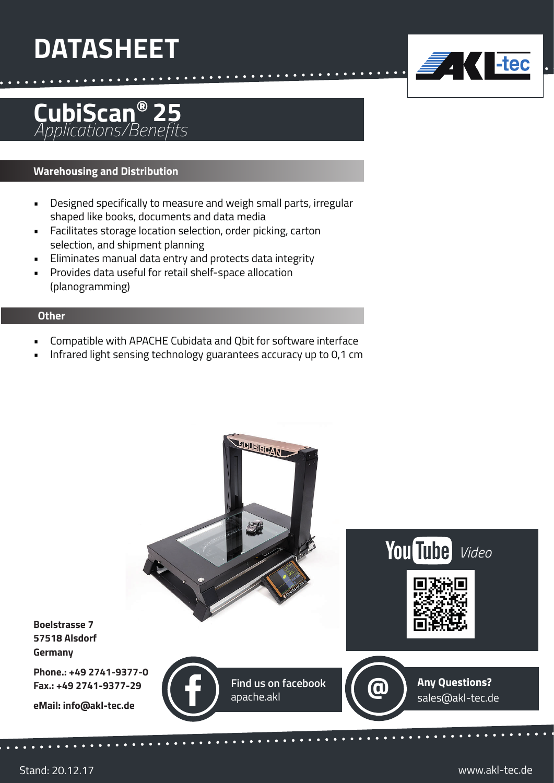# **DATASHEET**

### **CubiScan®** *Applications/Benefits* **25**

### **Warehousing and Distribution**

- Designed specifically to measure and weigh small parts, irregular shaped like books, documents and data media
- Facilitates storage location selection, order picking, carton selection, and shipment planning
- Eliminates manual data entry and protects data integrity
- Provides data useful for retail shelf-space allocation (planogramming)

#### **Other**

- Compatible with APACHE Cubidata and Qbit for software interface
- Infrared light sensing technology guarantees accuracy up to 0,1 cm



The Liec

**7. K**